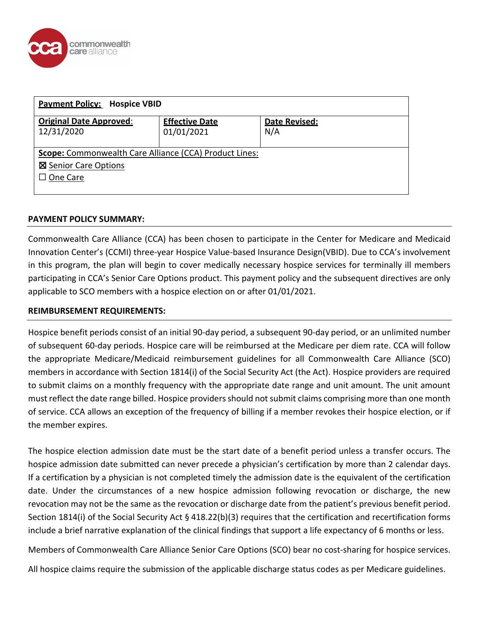

| <b>Payment Policy: Hospice VBID</b>                    |                       |               |  |  |
|--------------------------------------------------------|-----------------------|---------------|--|--|
| <b>Original Date Approved:</b>                         | <b>Effective Date</b> | Date Revised: |  |  |
| 12/31/2020                                             | 01/01/2021            | N/A           |  |  |
| Scope: Commonwealth Care Alliance (CCA) Product Lines: |                       |               |  |  |
| <b>⊠</b> Senior Care Options                           |                       |               |  |  |
| $\Box$ One Care                                        |                       |               |  |  |
|                                                        |                       |               |  |  |

## **PAYMENT POLICY SUMMARY:**

Commonwealth Care Alliance (CCA) has been chosen to participate in the Center for Medicare and Medicaid Innovation Center's (CCMI) three-year Hospice Value-based Insurance Design(VBID). Due to CCA's involvement in this program, the plan will begin to cover medically necessary hospice services for terminally ill members participating in CCA's Senior Care Options product. This payment policy and the subsequent directives are only applicable to SCO members with a hospice election on or after 01/01/2021.

### **REIMBURSEMENT REQUIREMENTS:**

Hospice benefit periods consist of an initial 90-day period, a subsequent 90-day period, or an unlimited number of subsequent 60-day periods. Hospice care will be reimbursed at the Medicare per diem rate. CCA will follow the appropriate Medicare/Medicaid reimbursement guidelines for all Commonwealth Care Alliance (SCO) members in accordance with Section 1814(i) of the Social Security Act (the Act). Hospice providers are required to submit claims on a monthly frequency with the appropriate date range and unit amount. The unit amount must reflect the date range billed. Hospice providers should notsubmit claims comprising more than one month of service. CCA allows an exception of the frequency of billing if a member revokes their hospice election, or if the member expires.

The hospice election admission date must be the start date of a benefit period unless a transfer occurs. The hospice admission date submitted can never precede a physician's certification by more than 2 calendar days. If a certification by a physician is not completed timely the admission date is the equivalent of the certification date. Under the circumstances of a new hospice admission following revocation or discharge, the new revocation may not be the same as the revocation or discharge date from the patient's previous benefit period. Section 1814(i) of the Social Security Act § 418.22(b)(3) requires that the certification and recertification forms include a brief narrative explanation of the clinical findings that support a life expectancy of 6 months or less.

Members of Commonwealth Care Alliance Senior Care Options (SCO) bear no cost-sharing for hospice services.

All hospice claims require the submission of the applicable discharge status codes as per Medicare guidelines.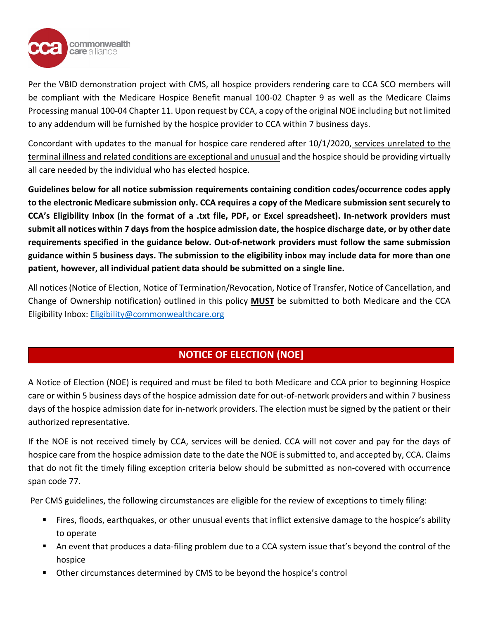

Per the VBID demonstration project with CMS, all hospice providers rendering care to CCA SCO members will be compliant with the Medicare Hospice Benefit manual 100-02 Chapter 9 as well as the Medicare Claims Processing manual 100-04 Chapter 11. Upon request by CCA, a copy of the original NOE including but not limited to any addendum will be furnished by the hospice provider to CCA within 7 business days.

Concordant with updates to the manual for hospice care rendered after 10/1/2020, services unrelated to the terminal illness and related conditions are exceptional and unusual and the hospice should be providing virtually all care needed by the individual who has elected hospice.

**Guidelines below for all notice submission requirements containing condition codes/occurrence codes apply to the electronic Medicare submission only. CCA requires a copy of the Medicare submission sent securely to CCA's Eligibility Inbox (in the format of a .txt file, PDF, or Excel spreadsheet). In-network providers must submit all notices within 7 days from the hospice admission date, the hospice discharge date, or by other date requirements specified in the guidance below. Out-of-network providers must follow the same submission guidance within 5 business days. The submission to the eligibility inbox may include data for more than one patient, however, all individual patient data should be submitted on a single line.**

All notices (Notice of Election, Notice of Termination/Revocation, Notice of Transfer, Notice of Cancellation, and Change of Ownership notification) outlined in this policy **MUST** be submitted to both Medicare and the CCA Eligibility Inbox: [Eligibility@commonwealthcare.org](mailto:Eligibility@commonwealthcare.org)

# **NOTICE OF ELECTION (NOE]**

A Notice of Election (NOE) is required and must be filed to both Medicare and CCA prior to beginning Hospice care or within 5 business days of the hospice admission date for out-of-network providers and within 7 business days of the hospice admission date for in-network providers. The election must be signed by the patient or their authorized representative.

If the NOE is not received timely by CCA, services will be denied. CCA will not cover and pay for the days of hospice care from the hospice admission date to the date the NOE is submitted to, and accepted by, CCA. Claims that do not fit the timely filing exception criteria below should be submitted as non-covered with occurrence span code 77.

Per CMS guidelines, the following circumstances are eligible for the review of exceptions to timely filing:

- Fires, floods, earthquakes, or other unusual events that inflict extensive damage to the hospice's ability to operate
- An event that produces a data-filing problem due to a CCA system issue that's beyond the control of the hospice
- Other circumstances determined by CMS to be beyond the hospice's control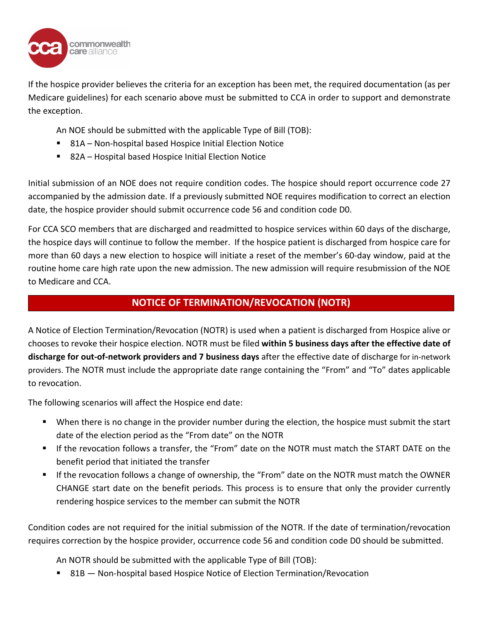

If the hospice provider believes the criteria for an exception has been met, the required documentation (as per Medicare guidelines) for each scenario above must be submitted to CCA in order to support and demonstrate the exception.

An NOE should be submitted with the applicable Type of Bill (TOB):

- 81A Non-hospital based Hospice Initial Election Notice
- 82A Hospital based Hospice Initial Election Notice

Initial submission of an NOE does not require condition codes. The hospice should report occurrence code 27 accompanied by the admission date. If a previously submitted NOE requires modification to correct an election date, the hospice provider should submit occurrence code 56 and condition code D0.

For CCA SCO members that are discharged and readmitted to hospice services within 60 days of the discharge, the hospice days will continue to follow the member. If the hospice patient is discharged from hospice care for more than 60 days a new election to hospice will initiate a reset of the member's 60-day window, paid at the routine home care high rate upon the new admission. The new admission will require resubmission of the NOE to Medicare and CCA.

# **NOTICE OF TERMINATION/REVOCATION (NOTR)**

A Notice of Election Termination/Revocation (NOTR) is used when a patient is discharged from Hospice alive or chooses to revoke their hospice election. NOTR must be filed **within 5 business days after the effective date of discharge for out-of-network providers and 7 business days** after the effective date of discharge for in-network providers. The NOTR must include the appropriate date range containing the "From" and "To" dates applicable to revocation.

The following scenarios will affect the Hospice end date:

- When there is no change in the provider number during the election, the hospice must submit the start date of the election period as the "From date" on the NOTR
- If the revocation follows a transfer, the "From" date on the NOTR must match the START DATE on the benefit period that initiated the transfer
- If the revocation follows a change of ownership, the "From" date on the NOTR must match the OWNER CHANGE start date on the benefit periods. This process is to ensure that only the provider currently rendering hospice services to the member can submit the NOTR

Condition codes are not required for the initial submission of the NOTR. If the date of termination/revocation requires correction by the hospice provider, occurrence code 56 and condition code D0 should be submitted.

An NOTR should be submitted with the applicable Type of Bill (TOB):

■ 81B — Non-hospital based Hospice Notice of Election Termination/Revocation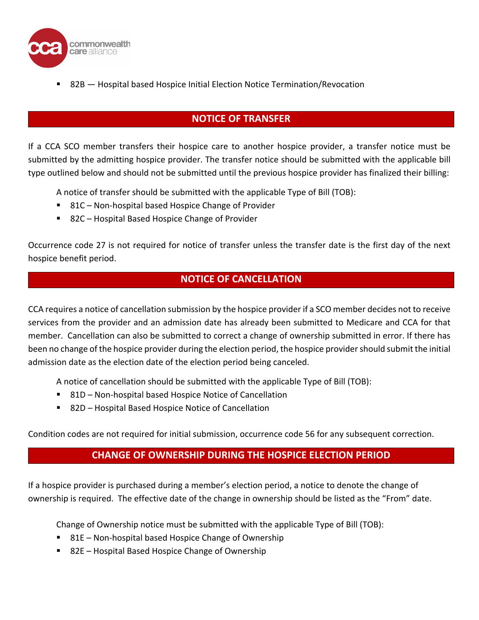

82B — Hospital based Hospice Initial Election Notice Termination/Revocation

# **NOTICE OF TRANSFER**

If a CCA SCO member transfers their hospice care to another hospice provider, a transfer notice must be submitted by the admitting hospice provider. The transfer notice should be submitted with the applicable bill type outlined below and should not be submitted until the previous hospice provider has finalized their billing:

A notice of transfer should be submitted with the applicable Type of Bill (TOB):

- 81C Non-hospital based Hospice Change of Provider
- 82C Hospital Based Hospice Change of Provider

Occurrence code 27 is not required for notice of transfer unless the transfer date is the first day of the next hospice benefit period.

## **NOTICE OF CANCELLATION**

CCA requires a notice of cancellation submission by the hospice provider if a SCO member decides not to receive services from the provider and an admission date has already been submitted to Medicare and CCA for that member. Cancellation can also be submitted to correct a change of ownership submitted in error. If there has been no change of the hospice provider during the election period, the hospice provider should submit the initial admission date as the election date of the election period being canceled.

A notice of cancellation should be submitted with the applicable Type of Bill (TOB):

- 81D Non-hospital based Hospice Notice of Cancellation
- 82D Hospital Based Hospice Notice of Cancellation

Condition codes are not required for initial submission, occurrence code 56 for any subsequent correction.

# **CHANGE OF OWNERSHIP DURING THE HOSPICE ELECTION PERIOD**

If a hospice provider is purchased during a member's election period, a notice to denote the change of ownership is required. The effective date of the change in ownership should be listed as the "From" date.

Change of Ownership notice must be submitted with the applicable Type of Bill (TOB):

- 81E Non-hospital based Hospice Change of Ownership
- 82E Hospital Based Hospice Change of Ownership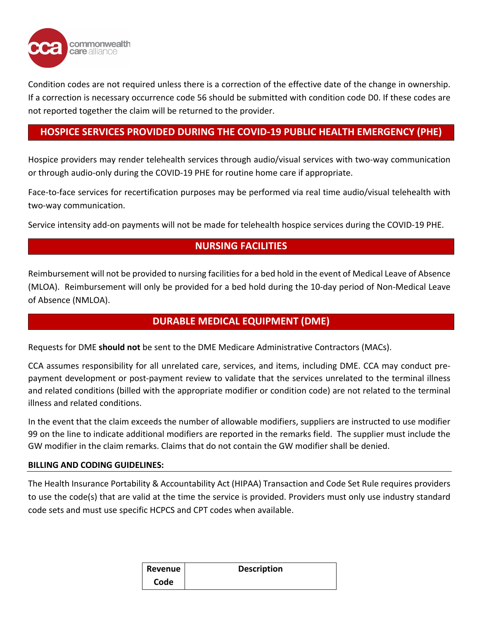

Condition codes are not required unless there is a correction of the effective date of the change in ownership. If a correction is necessary occurrence code 56 should be submitted with condition code D0. If these codes are not reported together the claim will be returned to the provider.

# **HOSPICE SERVICES PROVIDED DURING THE COVID-19 PUBLIC HEALTH EMERGENCY (PHE)**

Hospice providers may render telehealth services through audio/visual services with two-way communication or through audio-only during the COVID-19 PHE for routine home care if appropriate.

Face-to-face services for recertification purposes may be performed via real time audio/visual telehealth with two-way communication.

Service intensity add-on payments will not be made for telehealth hospice services during the COVID-19 PHE.

# **NURSING FACILITIES**

Reimbursement will not be provided to nursing facilities for a bed hold in the event of Medical Leave of Absence (MLOA). Reimbursement will only be provided for a bed hold during the 10-day period of Non-Medical Leave of Absence (NMLOA).

## **DURABLE MEDICAL EQUIPMENT (DME)**

Requests for DME **should not** be sent to the DME Medicare Administrative Contractors (MACs).

CCA assumes responsibility for all unrelated care, services, and items, including DME. CCA may conduct prepayment development or post-payment review to validate that the services unrelated to the terminal illness and related conditions (billed with the appropriate modifier or condition code) are not related to the terminal illness and related conditions.

In the event that the claim exceeds the number of allowable modifiers, suppliers are instructed to use modifier 99 on the line to indicate additional modifiers are reported in the remarks field. The supplier must include the GW modifier in the claim remarks. Claims that do not contain the GW modifier shall be denied.

### **BILLING AND CODING GUIDELINES:**

The Health Insurance Portability & Accountability Act (HIPAA) Transaction and Code Set Rule requires providers to use the code(s) that are valid at the time the service is provided. Providers must only use industry standard code sets and must use specific HCPCS and CPT codes when available.

| Revenue | <b>Description</b> |  |
|---------|--------------------|--|
| Code    |                    |  |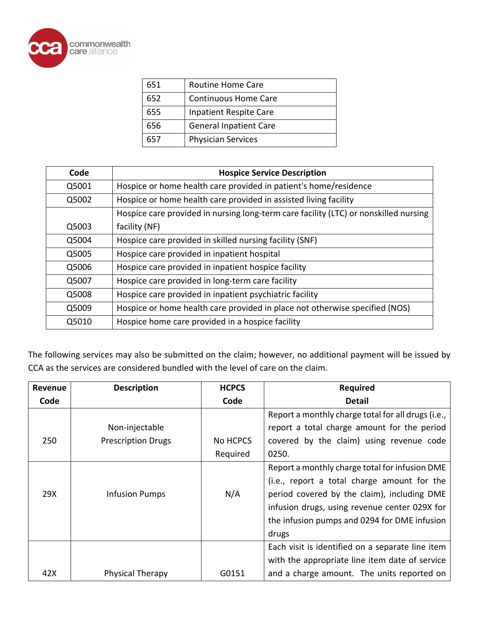

| 651 | <b>Routine Home Care</b>      |
|-----|-------------------------------|
| 652 | <b>Continuous Home Care</b>   |
| 655 | <b>Inpatient Respite Care</b> |
| 656 | <b>General Inpatient Care</b> |
|     | <b>Physician Services</b>     |

| Code  | <b>Hospice Service Description</b>                                                   |
|-------|--------------------------------------------------------------------------------------|
| Q5001 | Hospice or home health care provided in patient's home/residence                     |
| Q5002 | Hospice or home health care provided in assisted living facility                     |
|       | Hospice care provided in nursing long-term care facility (LTC) or nonskilled nursing |
| Q5003 | facility (NF)                                                                        |
| Q5004 | Hospice care provided in skilled nursing facility (SNF)                              |
| Q5005 | Hospice care provided in inpatient hospital                                          |
| Q5006 | Hospice care provided in inpatient hospice facility                                  |
| Q5007 | Hospice care provided in long-term care facility                                     |
| Q5008 | Hospice care provided in inpatient psychiatric facility                              |
| Q5009 | Hospice or home health care provided in place not otherwise specified (NOS)          |
| Q5010 | Hospice home care provided in a hospice facility                                     |

The following services may also be submitted on the claim; however, no additional payment will be issued by CCA as the services are considered bundled with the level of care on the claim.

| Revenue | <b>Description</b>        | <b>HCPCS</b> | <b>Required</b>                                    |
|---------|---------------------------|--------------|----------------------------------------------------|
| Code    |                           | Code         | <b>Detail</b>                                      |
|         |                           |              | Report a monthly charge total for all drugs (i.e., |
|         | Non-injectable            |              | report a total charge amount for the period        |
| 250     | <b>Prescription Drugs</b> | No HCPCS     | covered by the claim) using revenue code           |
|         |                           | Required     | 0250.                                              |
|         |                           |              | Report a monthly charge total for infusion DME     |
|         |                           |              | (i.e., report a total charge amount for the        |
| 29X     | <b>Infusion Pumps</b>     | N/A          | period covered by the claim), including DME        |
|         |                           |              | infusion drugs, using revenue center 029X for      |
|         |                           |              | the infusion pumps and 0294 for DME infusion       |
|         |                           |              | drugs                                              |
|         |                           |              | Each visit is identified on a separate line item   |
|         |                           |              | with the appropriate line item date of service     |
| 42X     | <b>Physical Therapy</b>   | G0151        | and a charge amount. The units reported on         |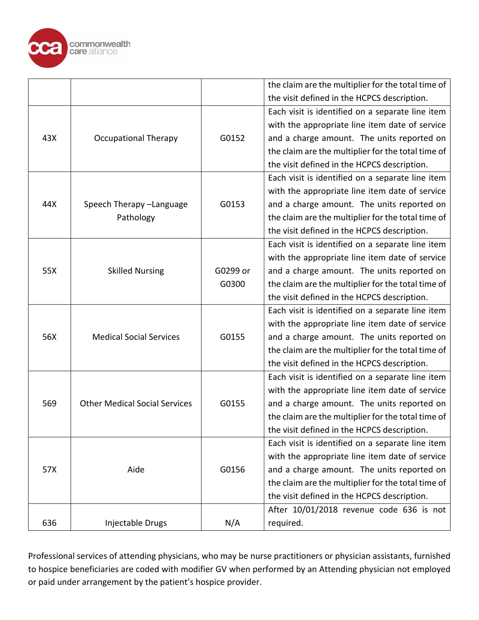

|     |                                      |          | the claim are the multiplier for the total time of |
|-----|--------------------------------------|----------|----------------------------------------------------|
|     |                                      |          | the visit defined in the HCPCS description.        |
|     |                                      |          | Each visit is identified on a separate line item   |
|     |                                      |          | with the appropriate line item date of service     |
| 43X | <b>Occupational Therapy</b>          | G0152    | and a charge amount. The units reported on         |
|     |                                      |          | the claim are the multiplier for the total time of |
|     |                                      |          | the visit defined in the HCPCS description.        |
|     |                                      |          | Each visit is identified on a separate line item   |
|     |                                      |          | with the appropriate line item date of service     |
| 44X | Speech Therapy -Language             | G0153    | and a charge amount. The units reported on         |
|     | Pathology                            |          | the claim are the multiplier for the total time of |
|     |                                      |          | the visit defined in the HCPCS description.        |
|     |                                      |          | Each visit is identified on a separate line item   |
|     |                                      |          | with the appropriate line item date of service     |
| 55X | <b>Skilled Nursing</b>               | G0299 or | and a charge amount. The units reported on         |
|     |                                      | G0300    | the claim are the multiplier for the total time of |
|     |                                      |          | the visit defined in the HCPCS description.        |
|     |                                      |          | Each visit is identified on a separate line item   |
|     |                                      |          | with the appropriate line item date of service     |
| 56X | <b>Medical Social Services</b>       | G0155    | and a charge amount. The units reported on         |
|     |                                      |          | the claim are the multiplier for the total time of |
|     |                                      |          | the visit defined in the HCPCS description.        |
|     |                                      |          | Each visit is identified on a separate line item   |
|     |                                      |          | with the appropriate line item date of service     |
| 569 | <b>Other Medical Social Services</b> | G0155    | and a charge amount. The units reported on         |
|     |                                      |          | the claim are the multiplier for the total time of |
|     |                                      |          | the visit defined in the HCPCS description.        |
|     |                                      |          | Each visit is identified on a separate line item   |
|     |                                      |          | with the appropriate line item date of service     |
| 57X | Aide                                 | G0156    | and a charge amount. The units reported on         |
|     |                                      |          | the claim are the multiplier for the total time of |
|     |                                      |          | the visit defined in the HCPCS description.        |
|     |                                      |          | After 10/01/2018 revenue code 636 is not           |
| 636 | Injectable Drugs                     | N/A      | required.                                          |

Professional services of attending physicians, who may be nurse practitioners or physician assistants, furnished to hospice beneficiaries are coded with modifier GV when performed by an Attending physician not employed or paid under arrangement by the patient's hospice provider.